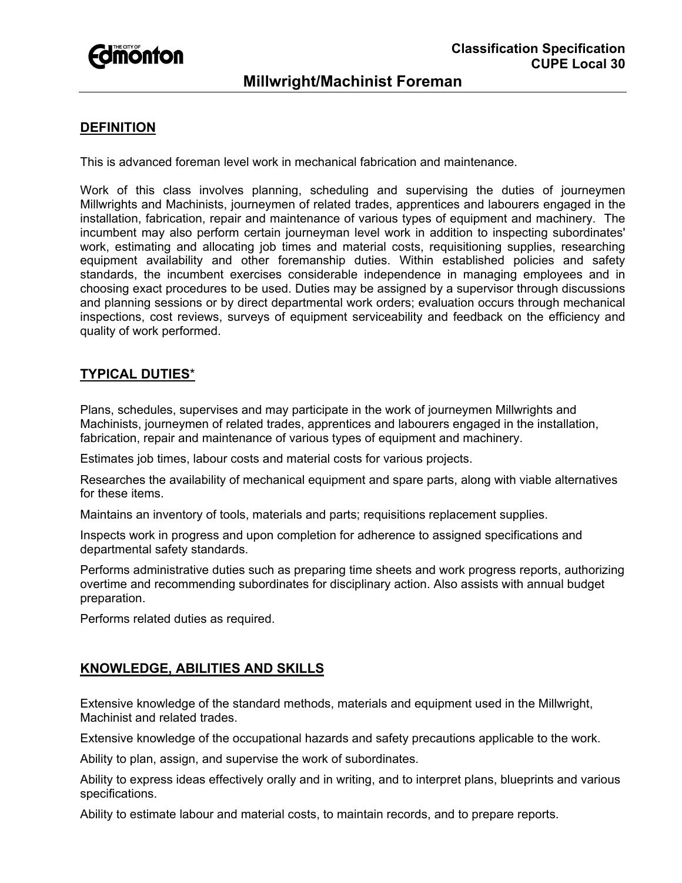

# **Millwright/Machinist Foreman**

### **DEFINITION**

This is advanced foreman level work in mechanical fabrication and maintenance.

Work of this class involves planning, scheduling and supervising the duties of journeymen Millwrights and Machinists, journeymen of related trades, apprentices and labourers engaged in the installation, fabrication, repair and maintenance of various types of equipment and machinery. The incumbent may also perform certain journeyman level work in addition to inspecting subordinates' work, estimating and allocating job times and material costs, requisitioning supplies, researching equipment availability and other foremanship duties. Within established policies and safety standards, the incumbent exercises considerable independence in managing employees and in choosing exact procedures to be used. Duties may be assigned by a supervisor through discussions and planning sessions or by direct departmental work orders; evaluation occurs through mechanical inspections, cost reviews, surveys of equipment serviceability and feedback on the efficiency and quality of work performed.

## **TYPICAL DUTIES**\*

Plans, schedules, supervises and may participate in the work of journeymen Millwrights and Machinists, journeymen of related trades, apprentices and labourers engaged in the installation, fabrication, repair and maintenance of various types of equipment and machinery.

Estimates job times, labour costs and material costs for various projects.

Researches the availability of mechanical equipment and spare parts, along with viable alternatives for these items.

Maintains an inventory of tools, materials and parts; requisitions replacement supplies.

Inspects work in progress and upon completion for adherence to assigned specifications and departmental safety standards.

Performs administrative duties such as preparing time sheets and work progress reports, authorizing overtime and recommending subordinates for disciplinary action. Also assists with annual budget preparation.

Performs related duties as required.

#### **KNOWLEDGE, ABILITIES AND SKILLS**

Extensive knowledge of the standard methods, materials and equipment used in the Millwright, Machinist and related trades.

Extensive knowledge of the occupational hazards and safety precautions applicable to the work.

Ability to plan, assign, and supervise the work of subordinates.

Ability to express ideas effectively orally and in writing, and to interpret plans, blueprints and various specifications.

Ability to estimate labour and material costs, to maintain records, and to prepare reports.